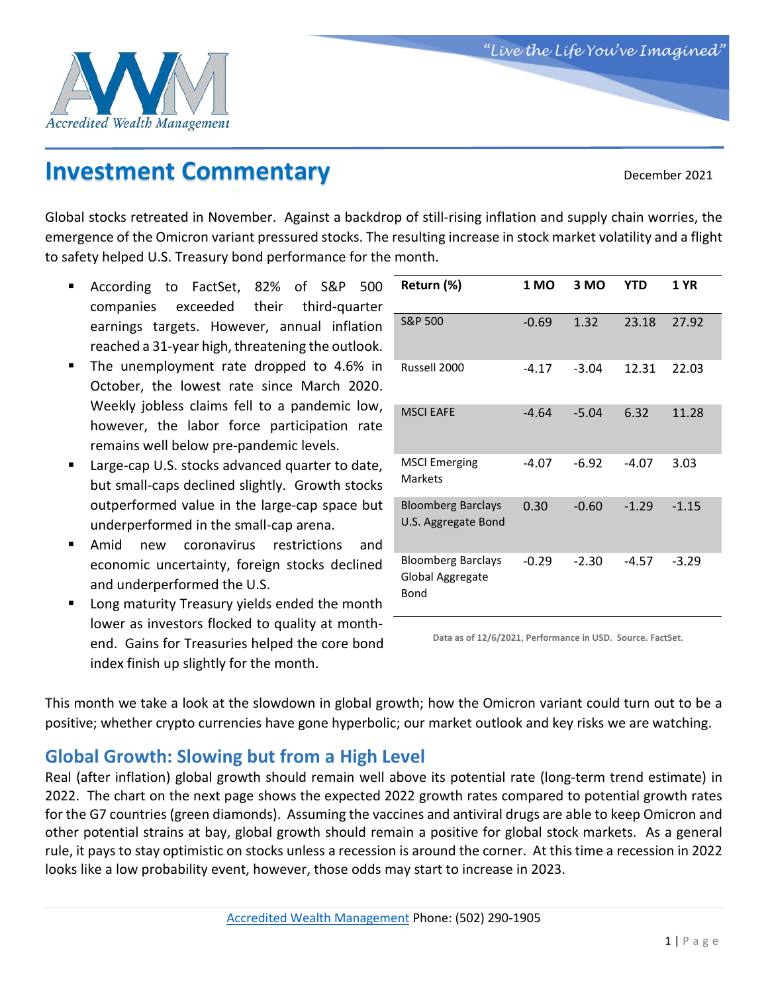

# **Investment Commentary** December 2021

Global stocks retreated in November. Against a backdrop of still-rising inflation and supply chain worries, the emergence of the Omicron variant pressured stocks. The resulting increase in stock market volatility and a flight to safety helped U.S. Treasury bond performance for the month.

- According to FactSet, 82% of S&P 500 companies exceeded their third-quarter earnings targets. However, annual inflation reached a 31-year high, threatening the outlook.
- The unemployment rate dropped to 4.6% in October, the lowest rate since March 2020. Weekly jobless claims fell to a pandemic low, however, the labor force participation rate remains well below pre-pandemic levels.
- Large-cap U.S. stocks advanced quarter to date, but small-caps declined slightly. Growth stocks outperformed value in the large-cap space but underperformed in the small-cap arena.
- Amid new coronavirus restrictions and economic uncertainty, foreign stocks declined and underperformed the U.S.
- Long maturity Treasury yields ended the month lower as investors flocked to quality at monthend. Gains for Treasuries helped the core bond index finish up slightly for the month.

| Return (%)                                            | 1 MO    | 3 MO    | <b>YTD</b> | <b>1 YR</b> |
|-------------------------------------------------------|---------|---------|------------|-------------|
| S&P 500                                               | $-0.69$ | 1.32    | 23.18      | 27.92       |
| Russell 2000                                          | $-4.17$ | $-3.04$ | 12.31      | 22.03       |
| <b>MSCI EAFE</b>                                      | $-4.64$ | $-5.04$ | 6.32       | 11.28       |
| <b>MSCI Emerging</b><br>Markets                       | $-4.07$ | $-6.92$ | $-4.07$    | 3.03        |
| <b>Bloomberg Barclays</b><br>U.S. Aggregate Bond      | 0.30    | $-0.60$ | $-1.29$    | $-1.15$     |
| <b>Bloomberg Barclays</b><br>Global Aggregate<br>Bond | $-0.29$ | $-2.30$ | -4.57      | $-3.29$     |

**Data as of 12/6/2021, Performance in USD. Source. FactSet.**

This month we take a look at the slowdown in global growth; how the Omicron variant could turn out to be a positive; whether crypto currencies have gone hyperbolic; our market outlook and key risks we are watching.

## **Global Growth: Slowing but from a High Level**

Real (after inflation) global growth should remain well above its potential rate (long-term trend estimate) in 2022. The chart on the next page shows the expected 2022 growth rates compared to potential growth rates for the G7 countries (green diamonds). Assuming the vaccines and antiviral drugs are able to keep Omicron and other potential strains at bay, global growth should remain a positive for global stock markets. As a general rule, it pays to stay optimistic on stocks unless a recession is around the corner. At this time a recession in 2022 looks like a low probability event, however, those odds may start to increase in 2023.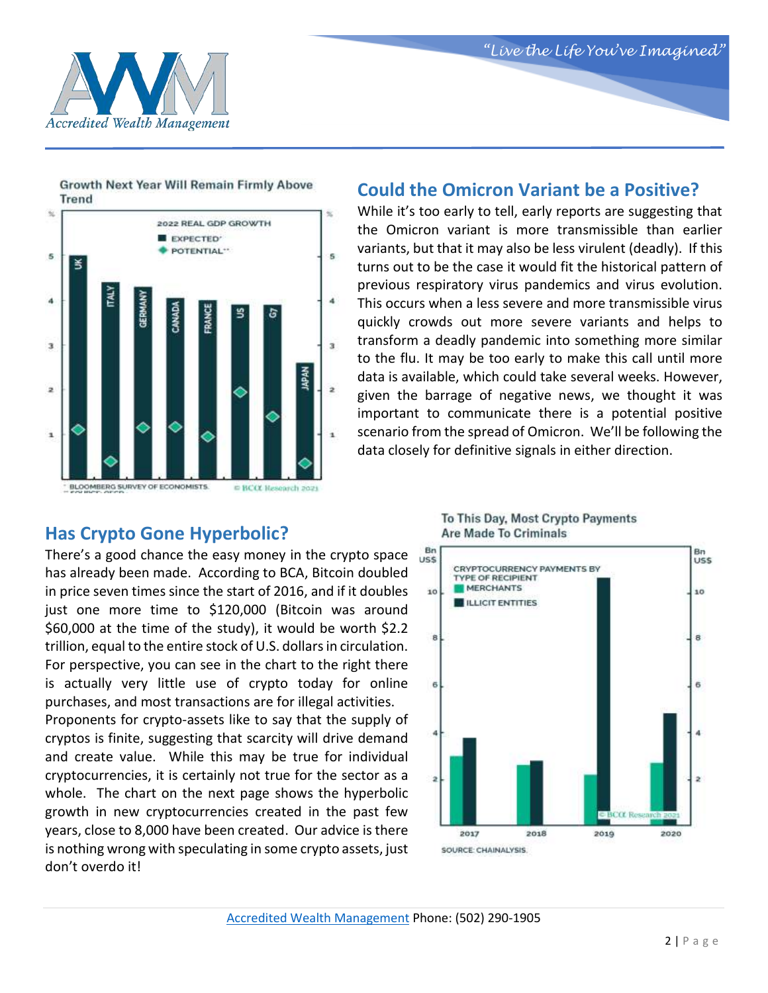



Growth Next Year Will Remain Firmly Above **Trend** 



#### **Could the Omicron Variant be a Positive?**

While it's too early to tell, early reports are suggesting that the Omicron variant is more transmissible than earlier variants, but that it may also be less virulent (deadly). If this turns out to be the case it would fit the historical pattern of previous respiratory virus pandemics and virus evolution. This occurs when a less severe and more transmissible virus quickly crowds out more severe variants and helps to transform a deadly pandemic into something more similar to the flu. It may be too early to make this call until more data is available, which could take several weeks. However, given the barrage of negative news, we thought it was important to communicate there is a potential positive scenario from the spread of Omicron. We'll be following the data closely for definitive signals in either direction.

### **Has Crypto Gone Hyperbolic?**

There's a good chance the easy money in the crypto space has already been made. According to BCA, Bitcoin doubled in price seven times since the start of 2016, and if it doubles just one more time to \$120,000 (Bitcoin was around \$60,000 at the time of the study), it would be worth \$2.2 trillion, equal to the entire stock of U.S. dollars in circulation. For perspective, you can see in the chart to the right there is actually very little use of crypto today for online purchases, and most transactions are for illegal activities. Proponents for crypto-assets like to say that the supply of cryptos is finite, suggesting that scarcity will drive demand and create value. While this may be true for individual cryptocurrencies, it is certainly not true for the sector as a whole. The chart on the next page shows the hyperbolic growth in new cryptocurrencies created in the past few

years, close to 8,000 have been created. Our advice is there is nothing wrong with speculating in some crypto assets, just don't overdo it!